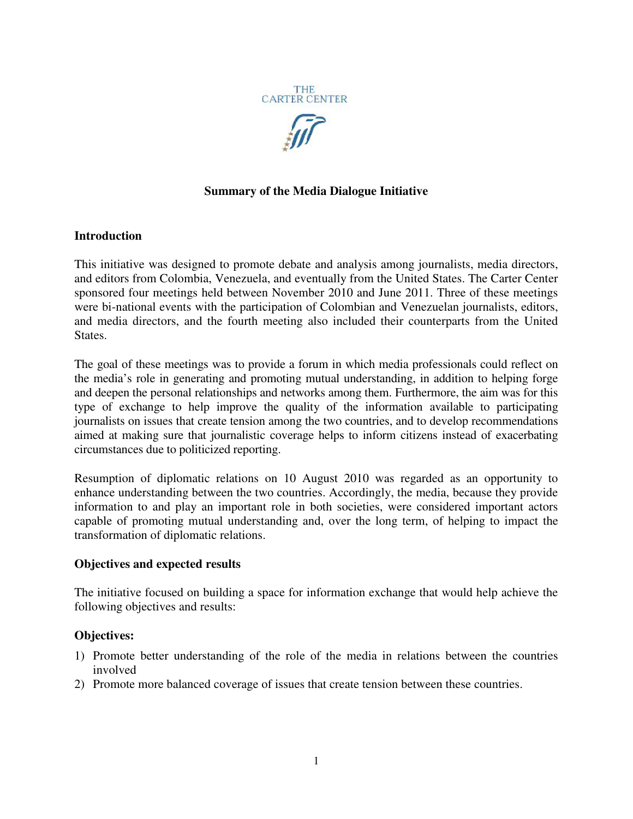



# **Summary of the Media Dialogue Initiative**

#### **Introduction**

This initiative was designed to promote debate and analysis among journalists, media directors, and editors from Colombia, Venezuela, and eventually from the United States. The Carter Center sponsored four meetings held between November 2010 and June 2011. Three of these meetings were bi-national events with the participation of Colombian and Venezuelan journalists, editors, and media directors, and the fourth meeting also included their counterparts from the United States.

The goal of these meetings was to provide a forum in which media professionals could reflect on the media's role in generating and promoting mutual understanding, in addition to helping forge and deepen the personal relationships and networks among them. Furthermore, the aim was for this type of exchange to help improve the quality of the information available to participating journalists on issues that create tension among the two countries, and to develop recommendations aimed at making sure that journalistic coverage helps to inform citizens instead of exacerbating circumstances due to politicized reporting.

Resumption of diplomatic relations on 10 August 2010 was regarded as an opportunity to enhance understanding between the two countries. Accordingly, the media, because they provide information to and play an important role in both societies, were considered important actors capable of promoting mutual understanding and, over the long term, of helping to impact the transformation of diplomatic relations.

### **Objectives and expected results**

The initiative focused on building a space for information exchange that would help achieve the following objectives and results:

### **Objectives:**

- 1) Promote better understanding of the role of the media in relations between the countries involved
- 2) Promote more balanced coverage of issues that create tension between these countries.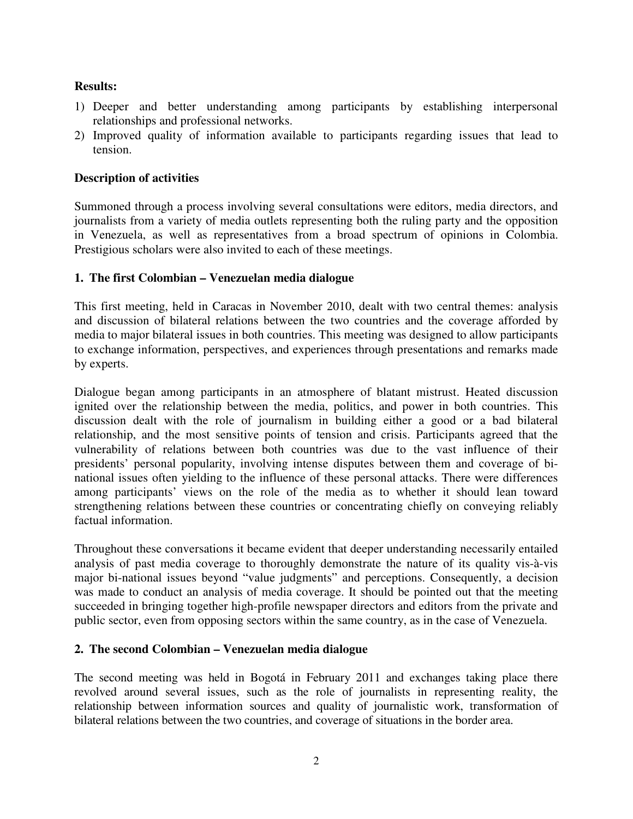## **Results:**

- 1) Deeper and better understanding among participants by establishing interpersonal relationships and professional networks.
- 2) Improved quality of information available to participants regarding issues that lead to tension.

### **Description of activities**

Summoned through a process involving several consultations were editors, media directors, and journalists from a variety of media outlets representing both the ruling party and the opposition in Venezuela, as well as representatives from a broad spectrum of opinions in Colombia. Prestigious scholars were also invited to each of these meetings.

### **1. The first Colombian – Venezuelan media dialogue**

This first meeting, held in Caracas in November 2010, dealt with two central themes: analysis and discussion of bilateral relations between the two countries and the coverage afforded by media to major bilateral issues in both countries. This meeting was designed to allow participants to exchange information, perspectives, and experiences through presentations and remarks made by experts.

Dialogue began among participants in an atmosphere of blatant mistrust. Heated discussion ignited over the relationship between the media, politics, and power in both countries. This discussion dealt with the role of journalism in building either a good or a bad bilateral relationship, and the most sensitive points of tension and crisis. Participants agreed that the vulnerability of relations between both countries was due to the vast influence of their presidents' personal popularity, involving intense disputes between them and coverage of binational issues often yielding to the influence of these personal attacks. There were differences among participants' views on the role of the media as to whether it should lean toward strengthening relations between these countries or concentrating chiefly on conveying reliably factual information.

Throughout these conversations it became evident that deeper understanding necessarily entailed analysis of past media coverage to thoroughly demonstrate the nature of its quality vis-à-vis major bi-national issues beyond "value judgments" and perceptions. Consequently, a decision was made to conduct an analysis of media coverage. It should be pointed out that the meeting succeeded in bringing together high-profile newspaper directors and editors from the private and public sector, even from opposing sectors within the same country, as in the case of Venezuela.

### **2. The second Colombian – Venezuelan media dialogue**

The second meeting was held in Bogotá in February 2011 and exchanges taking place there revolved around several issues, such as the role of journalists in representing reality, the relationship between information sources and quality of journalistic work, transformation of bilateral relations between the two countries, and coverage of situations in the border area.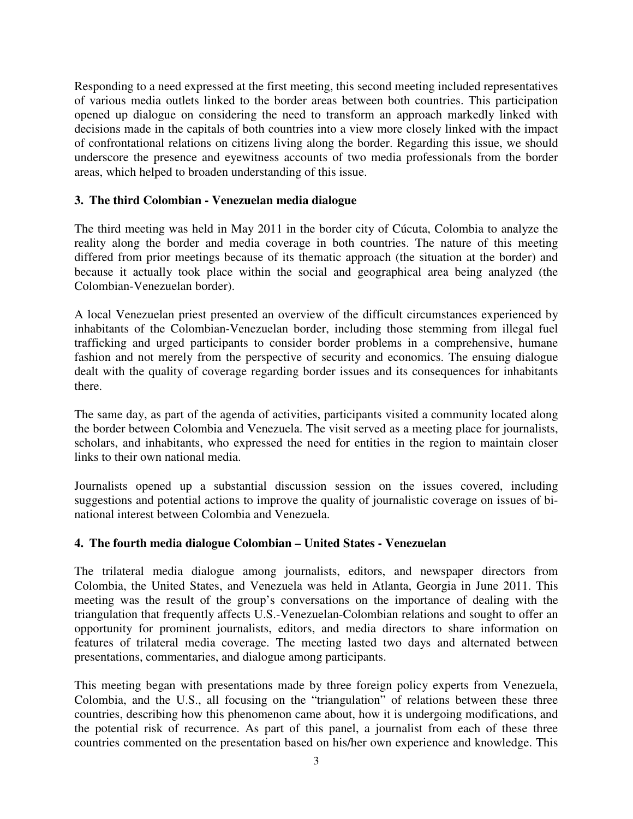Responding to a need expressed at the first meeting, this second meeting included representatives of various media outlets linked to the border areas between both countries. This participation opened up dialogue on considering the need to transform an approach markedly linked with decisions made in the capitals of both countries into a view more closely linked with the impact of confrontational relations on citizens living along the border. Regarding this issue, we should underscore the presence and eyewitness accounts of two media professionals from the border areas, which helped to broaden understanding of this issue.

### **3. The third Colombian - Venezuelan media dialogue**

The third meeting was held in May 2011 in the border city of Cúcuta, Colombia to analyze the reality along the border and media coverage in both countries. The nature of this meeting differed from prior meetings because of its thematic approach (the situation at the border) and because it actually took place within the social and geographical area being analyzed (the Colombian-Venezuelan border).

A local Venezuelan priest presented an overview of the difficult circumstances experienced by inhabitants of the Colombian-Venezuelan border, including those stemming from illegal fuel trafficking and urged participants to consider border problems in a comprehensive, humane fashion and not merely from the perspective of security and economics. The ensuing dialogue dealt with the quality of coverage regarding border issues and its consequences for inhabitants there.

The same day, as part of the agenda of activities, participants visited a community located along the border between Colombia and Venezuela. The visit served as a meeting place for journalists, scholars, and inhabitants, who expressed the need for entities in the region to maintain closer links to their own national media.

Journalists opened up a substantial discussion session on the issues covered, including suggestions and potential actions to improve the quality of journalistic coverage on issues of binational interest between Colombia and Venezuela.

### **4. The fourth media dialogue Colombian – United States - Venezuelan**

The trilateral media dialogue among journalists, editors, and newspaper directors from Colombia, the United States, and Venezuela was held in Atlanta, Georgia in June 2011. This meeting was the result of the group's conversations on the importance of dealing with the triangulation that frequently affects U.S.-Venezuelan-Colombian relations and sought to offer an opportunity for prominent journalists, editors, and media directors to share information on features of trilateral media coverage. The meeting lasted two days and alternated between presentations, commentaries, and dialogue among participants.

This meeting began with presentations made by three foreign policy experts from Venezuela, Colombia, and the U.S., all focusing on the "triangulation" of relations between these three countries, describing how this phenomenon came about, how it is undergoing modifications, and the potential risk of recurrence. As part of this panel, a journalist from each of these three countries commented on the presentation based on his/her own experience and knowledge. This